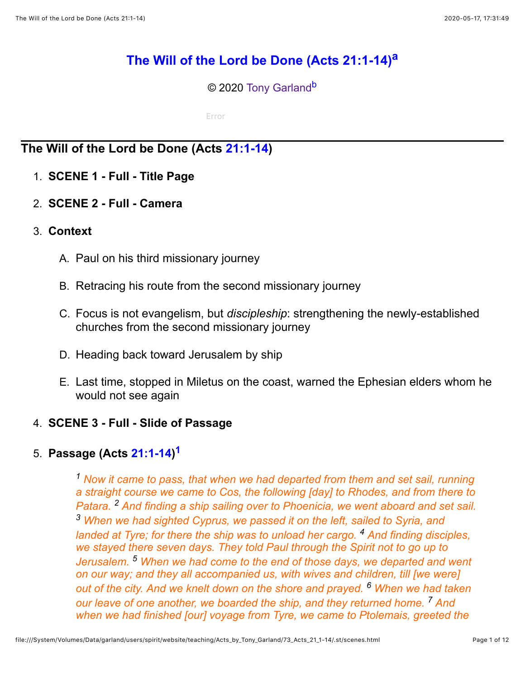# **[The Will of the Lord be Done \(Acts 21:1-14\)](http://www.spiritandtruth.org/teaching/Acts_by_Tony_Garland/73_Acts_21_1-14/index.htm)[a](#page-11-0)**

<span id="page-0-2"></span><span id="page-0-1"></span>© 2020 [Tony Garland](http://www.spiritandtruth.org/id/tg.htm)<sup>[b](#page-11-1)</sup>

Error

# **The Will of the Lord be Done (Acts [21:1-14](http://www.spiritandtruth.org/bibles/nasb/b44c021.htm%23Acts_C21V1))**

- 1. **SCENE 1 Full Title Page**
- 2. **SCENE 2 Full Camera**
- 3. **Context**
	- A. Paul on his third missionary journey
	- B. Retracing his route from the second missionary journey
	- C. Focus is not evangelism, but *discipleship*: strengthening the newly-established churches from the second missionary journey
	- D. Heading back toward Jerusalem by ship
	- E. Last time, stopped in Miletus on the coast, warned the Ephesian elders whom he would not see again

# 4. **SCENE 3 - Full - Slide of Passage**

# 5. **Passage (Acts [21:1-14](http://www.spiritandtruth.org/bibles/nasb/b44c021.htm%23Acts_C21V1)) [1](#page-11-2)**

<span id="page-0-0"></span>*1 Now it came to pass, that when we had departed from them and set sail, running a straight course we came to Cos, the following [day] to Rhodes, and from there to Patara. 2 And finding a ship sailing over to Phoenicia, we went aboard and set sail. 3 When we had sighted Cyprus, we passed it on the left, sailed to Syria, and landed at Tyre; for there the ship was to unload her cargo. 4 And finding disciples, we stayed there seven days. They told Paul through the Spirit not to go up to Jerusalem. 5 When we had come to the end of those days, we departed and went on our way; and they all accompanied us, with wives and children, till [we were] out of the city. And we knelt down on the shore and prayed. 6 When we had taken our leave of one another, we boarded the ship, and they returned home. 7 And when we had finished [our] voyage from Tyre, we came to Ptolemais, greeted the*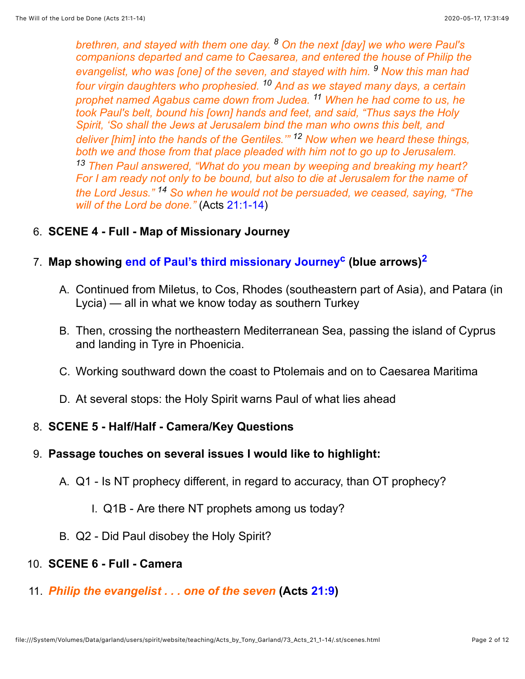*brethren, and stayed with them one day. 8 On the next [day] we who were Paul's companions departed and came to Caesarea, and entered the house of Philip the evangelist, who was [one] of the seven, and stayed with him. 9 Now this man had four virgin daughters who prophesied. 10 And as we stayed many days, a certain prophet named Agabus came down from Judea. 11 When he had come to us, he took Paul's belt, bound his [own] hands and feet, and said, "Thus says the Holy Spirit, 'So shall the Jews at Jerusalem bind the man who owns this belt, and deliver [him] into the hands of the Gentiles.'" 12 Now when we heard these things, both we and those from that place pleaded with him not to go up to Jerusalem. 13 Then Paul answered, "What do you mean by weeping and breaking my heart? For I am ready not only to be bound, but also to die at Jerusalem for the name of the Lord Jesus." 14 So when he would not be persuaded, we ceased, saying, "The will of the Lord be done."* (Acts [21:1-14](http://www.spiritandtruth.org/bibles/nasb/b44c021.htm%23Acts_C21V1))

### 6. **SCENE 4 - Full - Map of Missionary Journey**

## 7. **Map showing [end of Paul's third missionary Journey](file:///System/Volumes/Data/garland/users/spirit/website/teaching/Acts_by_Tony_Garland/73_Acts_21_1-14/.st/paul_missionary_journeys_end_of_third_modified-from-20200513194415.png)[c](#page-11-3) (blue arrows[\)2](#page-11-4)**

- <span id="page-1-1"></span><span id="page-1-0"></span>A. Continued from Miletus, to Cos, Rhodes (southeastern part of Asia), and Patara (in Lycia) — all in what we know today as southern Turkey
- B. Then, crossing the northeastern Mediterranean Sea, passing the island of Cyprus and landing in Tyre in Phoenicia.
- C. Working southward down the coast to Ptolemais and on to Caesarea Maritima
- D. At several stops: the Holy Spirit warns Paul of what lies ahead

#### 8. **SCENE 5 - Half/Half - Camera/Key Questions**

#### 9. **Passage touches on several issues I would like to highlight:**

- A. Q1 Is NT prophecy different, in regard to accuracy, than OT prophecy?
	- I. Q1B Are there NT prophets among us today?
- B. Q2 Did Paul disobey the Holy Spirit?

#### 10. **SCENE 6 - Full - Camera**

11. *Philip the evangelist . . . one of the seven* **(Acts [21:9](http://www.spiritandtruth.org/bibles/nasb/b44c021.htm%23Acts_C21V9))**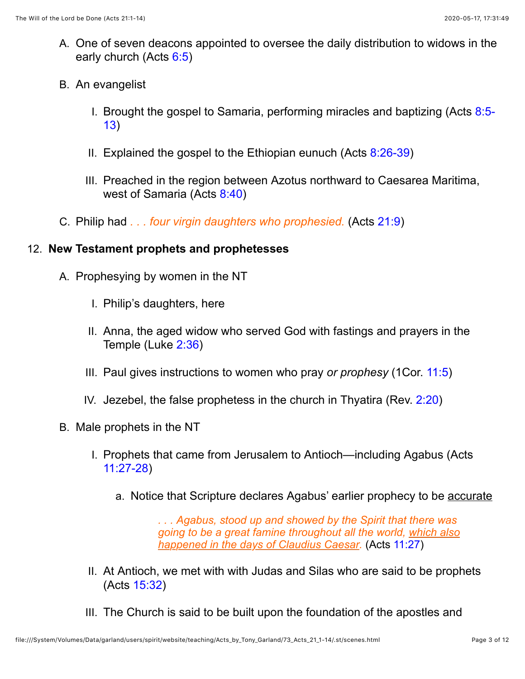- A. One of seven deacons appointed to oversee the daily distribution to widows in the early church (Acts [6:5\)](http://www.spiritandtruth.org/bibles/nasb/b44c006.htm%23Acts_C6V5)
- B. An evangelist
	- I. [Brought the gospel to Samaria, performing miracles and baptizing \(Acts 8:5-](http://www.spiritandtruth.org/bibles/nasb/b44c008.htm%23Acts_C8V5) 13)
	- II. Explained the gospel to the Ethiopian eunuch (Acts [8:26-39](http://www.spiritandtruth.org/bibles/nasb/b44c008.htm%23Acts_C8V26))
	- III. Preached in the region between Azotus northward to Caesarea Maritima, west of Samaria (Acts [8:40\)](http://www.spiritandtruth.org/bibles/nasb/b44c008.htm%23Acts_C8V40)
- C. Philip had *. . . four virgin daughters who prophesied.* (Acts [21:9](http://www.spiritandtruth.org/bibles/nasb/b44c021.htm%23Acts_C21V9))

# 12. **New Testament prophets and prophetesses**

- A. Prophesying by women in the NT
	- I. Philip's daughters, here
	- II. Anna, the aged widow who served God with fastings and prayers in the Temple (Luke [2:36](http://www.spiritandtruth.org/bibles/nasb/b42c002.htm%23Luke_C2V36))
	- III. Paul gives instructions to women who pray *or prophesy* (1Cor. [11:5](http://www.spiritandtruth.org/bibles/nasb/b46c011.htm%231Cor._C11V5))
	- IV. Jezebel, the false prophetess in the church in Thyatira (Rev. [2:20\)](http://www.spiritandtruth.org/bibles/nasb/b66c002.htm%23Rev._C2V20)
- B. Male prophets in the NT
	- I. Prophets that came from Jerusalem to Antioch—including Agabus (Acts [11:27-28](http://www.spiritandtruth.org/bibles/nasb/b44c011.htm%23Acts_C11V27))
		- a. Notice that Scripture declares Agabus' earlier prophecy to be accurate

*. . . Agabus, stood up and showed by the Spirit that there was going to be a great famine throughout all the world, which also happened in the days of Claudius Caesar.* (Acts [11:27](http://www.spiritandtruth.org/bibles/nasb/b44c011.htm%23Acts_C11V27))

- II. At Antioch, we met with with Judas and Silas who are said to be prophets (Acts [15:32](http://www.spiritandtruth.org/bibles/nasb/b44c015.htm%23Acts_C15V32))
- III. The Church is said to be built upon the foundation of the apostles and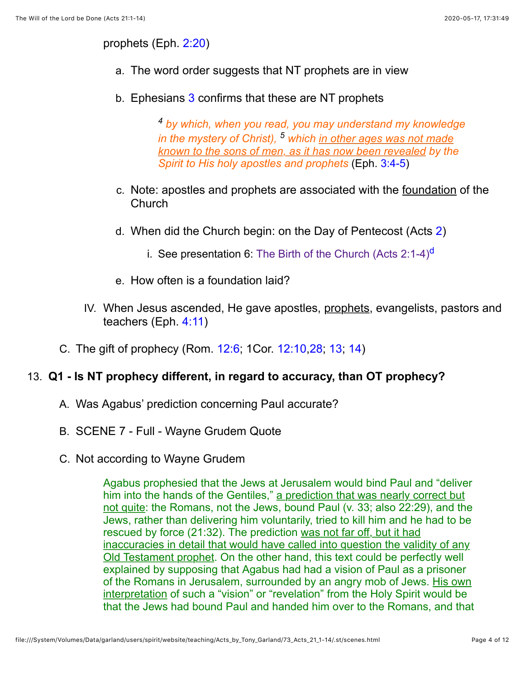prophets (Eph. [2:20\)](http://www.spiritandtruth.org/bibles/nasb/b49c002.htm%23Eph._C2V20)

- a. The word order suggests that NT prophets are in view
- b. Ephesians [3](http://www.spiritandtruth.org/bibles/nasb/b49c003.htm%23Eph._C3V1) confirms that these are NT prophets

<span id="page-3-0"></span>*4 by which, when you read, you may understand my knowledge in the mystery of Christ), 5 which in other ages was not made known to the sons of men, as it has now been revealed by the Spirit to His holy apostles and prophets* (Eph. [3:4-5](http://www.spiritandtruth.org/bibles/nasb/b49c003.htm%23Eph._C3V4))

- c. Note: apostles and prophets are associated with the foundation of the Church
- d. When did the Church begin: on the Day of Pentecost (Acts [2](http://www.spiritandtruth.org/bibles/nasb/b44c002.htm%23Acts_C2V1))
	- i. See presentation 6: The Birth of the Church (Acts  $2:1-4$ )<sup>[d](#page-11-5)</sup>
- e. How often is a foundation laid?
- IV. When Jesus ascended, He gave apostles, prophets, evangelists, pastors and teachers (Eph. [4:11](http://www.spiritandtruth.org/bibles/nasb/b49c004.htm%23Eph._C4V11))
- C. The gift of prophecy (Rom. [12:6;](http://www.spiritandtruth.org/bibles/nasb/b45c012.htm%23Rom._C12V6) 1Cor. [12:10,](http://www.spiritandtruth.org/bibles/nasb/b46c012.htm%231Cor._C12V10)[28](http://www.spiritandtruth.org/bibles/nasb/b46c012.htm%231Cor._C12V28); [13](http://www.spiritandtruth.org/bibles/nasb/b46c012.htm%231Cor._C12V13); [14\)](http://www.spiritandtruth.org/bibles/nasb/b46c012.htm%231Cor._C12V14)

#### 13. **Q1 - Is NT prophecy different, in regard to accuracy, than OT prophecy?**

- A. Was Agabus' prediction concerning Paul accurate?
- B. SCENE 7 Full Wayne Grudem Quote
- C. Not according to Wayne Grudem

Agabus prophesied that the Jews at Jerusalem would bind Paul and "deliver him into the hands of the Gentiles," a prediction that was nearly correct but not quite: the Romans, not the Jews, bound Paul (v. 33; also 22:29), and the Jews, rather than delivering him voluntarily, tried to kill him and he had to be rescued by force (21:32). The prediction was not far off, but it had inaccuracies in detail that would have called into question the validity of any Old Testament prophet. On the other hand, this text could be perfectly well explained by supposing that Agabus had had a vision of Paul as a prisoner of the Romans in Jerusalem, surrounded by an angry mob of Jews. His own interpretation of such a "vision" or "revelation" from the Holy Spirit would be that the Jews had bound Paul and handed him over to the Romans, and that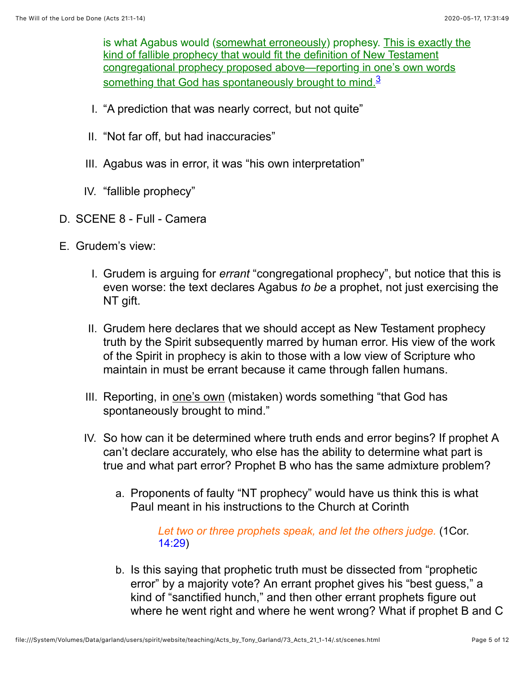<span id="page-4-0"></span>is what Agabus would (somewhat erroneously) prophesy. This is exactly the kind of fallible prophecy that would fit the definition of New Testament congregational prophecy proposed above—reporting in one's own words something that God has spontaneously brought to mind. $3$ 

- I. "A prediction that was nearly correct, but not quite"
- II. "Not far off, but had inaccuracies"
- III. Agabus was in error, it was "his own interpretation"
- IV. "fallible prophecy"
- D. SCENE 8 Full Camera
- E. Grudem's view:
	- I. Grudem is arguing for *errant* "congregational prophecy", but notice that this is even worse: the text declares Agabus *to be* a prophet, not just exercising the NT gift.
	- II. Grudem here declares that we should accept as New Testament prophecy truth by the Spirit subsequently marred by human error. His view of the work of the Spirit in prophecy is akin to those with a low view of Scripture who maintain in must be errant because it came through fallen humans.
	- III. Reporting, in one's own (mistaken) words something "that God has spontaneously brought to mind."
	- IV. So how can it be determined where truth ends and error begins? If prophet A can't declare accurately, who else has the ability to determine what part is true and what part error? Prophet B who has the same admixture problem?
		- a. Proponents of faulty "NT prophecy" would have us think this is what Paul meant in his instructions to the Church at Corinth

*Let two or three prophets speak, and let the others judge.* (1Cor. [14:29](http://www.spiritandtruth.org/bibles/nasb/b46c014.htm%231Cor._C14V29))

b. Is this saying that prophetic truth must be dissected from "prophetic error" by a majority vote? An errant prophet gives his "best guess," a kind of "sanctified hunch," and then other errant prophets figure out where he went right and where he went wrong? What if prophet B and C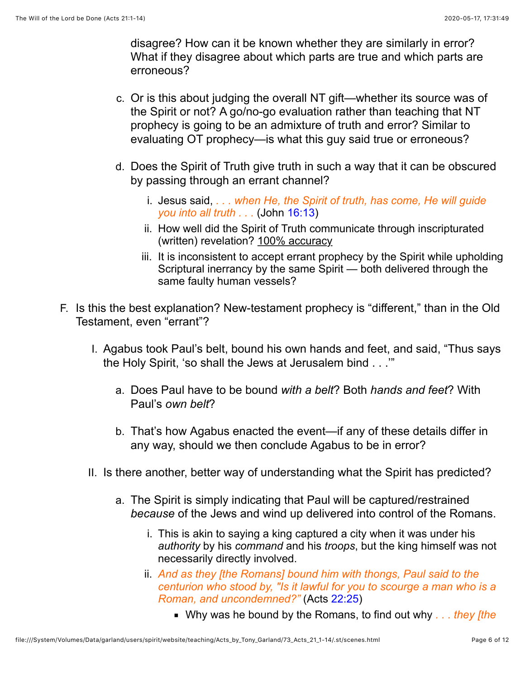disagree? How can it be known whether they are similarly in error? What if they disagree about which parts are true and which parts are erroneous?

- c. Or is this about judging the overall NT gift—whether its source was of the Spirit or not? A go/no-go evaluation rather than teaching that NT prophecy is going to be an admixture of truth and error? Similar to evaluating OT prophecy—is what this guy said true or erroneous?
- d. Does the Spirit of Truth give truth in such a way that it can be obscured by passing through an errant channel?
	- i. Jesus said, *. . . when He, the Spirit of truth, has come, He will guide you into all truth . . .* (John [16:13](http://www.spiritandtruth.org/bibles/nasb/b43c016.htm%23John_C16V13))
	- ii. How well did the Spirit of Truth communicate through inscripturated (written) revelation? 100% accuracy
	- iii. It is inconsistent to accept errant prophecy by the Spirit while upholding Scriptural inerrancy by the same Spirit — both delivered through the same faulty human vessels?
- F. Is this the best explanation? New-testament prophecy is "different," than in the Old Testament, even "errant"?
	- I. Agabus took Paul's belt, bound his own hands and feet, and said, "Thus says the Holy Spirit, 'so shall the Jews at Jerusalem bind . . .'"
		- a. Does Paul have to be bound *with a belt*? Both *hands and feet*? With Paul's *own belt*?
		- b. That's how Agabus enacted the event—if any of these details differ in any way, should we then conclude Agabus to be in error?
	- II. Is there another, better way of understanding what the Spirit has predicted?
		- a. The Spirit is simply indicating that Paul will be captured/restrained *because* of the Jews and wind up delivered into control of the Romans.
			- i. This is akin to saying a king captured a city when it was under his *authority* by his *command* and his *troops*, but the king himself was not necessarily directly involved.
			- ii. *And as they [the Romans] bound him with thongs, Paul said to the centurion who stood by, "Is it lawful for you to scourge a man who is a Roman, and uncondemned?"* (Acts [22:25](http://www.spiritandtruth.org/bibles/nasb/b44c022.htm%23Acts_C22V25))
				- Why was he bound by the Romans, to find out why *. . . they [the*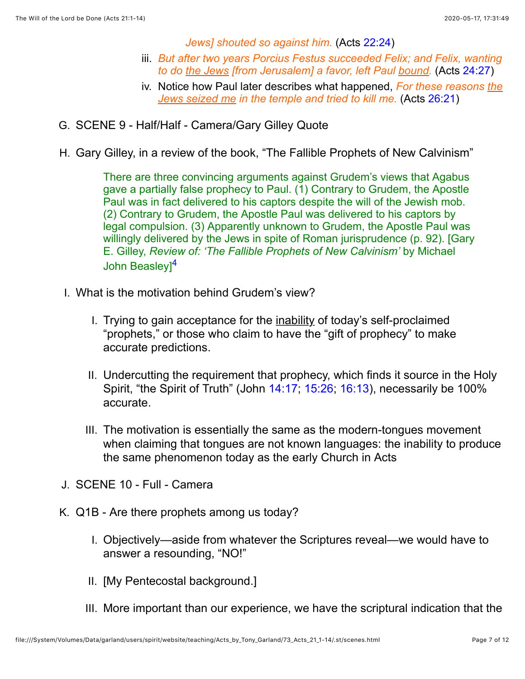*Jews] shouted so against him.* (Acts [22:24](http://www.spiritandtruth.org/bibles/nasb/b44c022.htm%23Acts_C22V24))

- iii. *But after two years Porcius Festus succeeded Felix; and Felix, wanting to do the Jews [from Jerusalem] a favor, left Paul bound.* (Acts [24:27](http://www.spiritandtruth.org/bibles/nasb/b44c024.htm%23Acts_C24V27))
- iv. Notice how Paul later describes what happened, *For these reasons the Jews seized me in the temple and tried to kill me.* (Acts [26:21\)](http://www.spiritandtruth.org/bibles/nasb/b44c026.htm%23Acts_C26V21)
- G. SCENE 9 Half/Half Camera/Gary Gilley Quote
- H. Gary Gilley, in a review of the book, "The Fallible Prophets of New Calvinism"

<span id="page-6-0"></span>There are three convincing arguments against Grudem's views that Agabus gave a partially false prophecy to Paul. (1) Contrary to Grudem, the Apostle Paul was in fact delivered to his captors despite the will of the Jewish mob. (2) Contrary to Grudem, the Apostle Paul was delivered to his captors by legal compulsion. (3) Apparently unknown to Grudem, the Apostle Paul was willingly delivered by the Jews in spite of Roman jurisprudence (p. 92). [Gary E. Gilley, *Review of: 'The Fallible Prophets of New Calvinism'* by Michael John Beaslev<sup>1[4](#page-11-7)</sup>

- I. What is the motivation behind Grudem's view?
	- I. Trying to gain acceptance for the inability of today's self-proclaimed "prophets," or those who claim to have the "gift of prophecy" to make accurate predictions.
	- II. Undercutting the requirement that prophecy, which finds it source in the Holy Spirit, "the Spirit of Truth" (John [14:17](http://www.spiritandtruth.org/bibles/nasb/b43c014.htm%23John_C14V17); [15:26](http://www.spiritandtruth.org/bibles/nasb/b43c015.htm%23John_C15V26); [16:13\)](http://www.spiritandtruth.org/bibles/nasb/b43c016.htm%23John_C16V13), necessarily be 100% accurate.
	- III. The motivation is essentially the same as the modern-tongues movement when claiming that tongues are not known languages: the inability to produce the same phenomenon today as the early Church in Acts
- J. SCENE 10 Full Camera
- K. Q1B Are there prophets among us today?
	- I. Objectively—aside from whatever the Scriptures reveal—we would have to answer a resounding, "NO!"
	- II. [My Pentecostal background.]
	- III. More important than our experience, we have the scriptural indication that the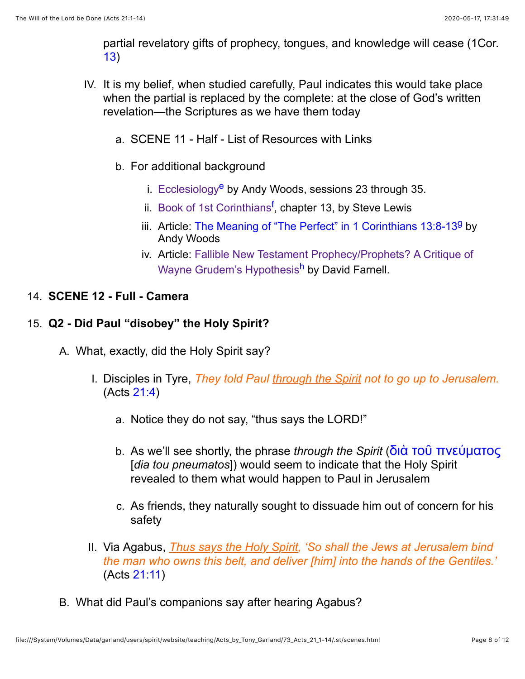<span id="page-7-2"></span>partial revelatory gifts of prophecy, tongues, and knowledge will cease (1Cor. [13\)](http://www.spiritandtruth.org/bibles/nasb/b46c013.htm%231Cor._C13V1)

- <span id="page-7-1"></span><span id="page-7-0"></span>IV. It is my belief, when studied carefully, Paul indicates this would take place when the partial is replaced by the complete: at the close of God's written revelation—the Scriptures as we have them today
	- a. SCENE 11 Half List of Resources with Links
	- b. For additional background
		- i. [Ecclesiology](http://www.spiritandtruth.org/teaching/57.htm)<sup>[e](#page-11-8)</sup> by Andy Woods, sessions 23 through 35.
		- ii. [Book of 1st Corinthians](http://www.spiritandtruth.org/teaching/Book_of_1st_Corinthians/22_1Cor_13_1-13/index.htm)<sup>[f](#page-11-9)</sup>, chapter 13, by Steve Lewis
		- iii. Article: [The Meaning of "The Perfect" in 1 Corinthians 13:8-13](http://www.spiritandtruth.org/teaching/documents/articles/index.htm%23105)<sup>9</sup> by Andy Woods
		- iv. [Article: Fallible New Testament Prophecy/Prophets? A Critique of](https://www.tms.edu/m/tmsj2h.pdf) Wayne Grudem's Hypothesi[sh](#page-11-11) by David Farnell.

### 14. **SCENE 12 - Full - Camera**

### 15. **Q2 - Did Paul "disobey" the Holy Spirit?**

- <span id="page-7-3"></span>A. What, exactly, did the Holy Spirit say?
	- I. Disciples in Tyre, *They told Paul through the Spirit not to go up to Jerusalem.* (Acts [21:4\)](http://www.spiritandtruth.org/bibles/nasb/b44c021.htm%23Acts_C21V4)
		- a. Notice they do not say, "thus says the LORD!"
		- b. As we'll see shortly, the phrase *through the Spirit* ([διὰ τοῦ πνεύματος](http://www.spiritandtruth.org/fontsu/index.htm) [*dia tou pneumatos*]) would seem to indicate that the Holy Spirit revealed to them what would happen to Paul in Jerusalem
		- c. As friends, they naturally sought to dissuade him out of concern for his safety
	- II. Via Agabus, *Thus says the Holy Spirit, 'So shall the Jews at Jerusalem bind the man who owns this belt, and deliver [him] into the hands of the Gentiles.'* (Acts [21:11](http://www.spiritandtruth.org/bibles/nasb/b44c021.htm%23Acts_C21V11))
- B. What did Paul's companions say after hearing Agabus?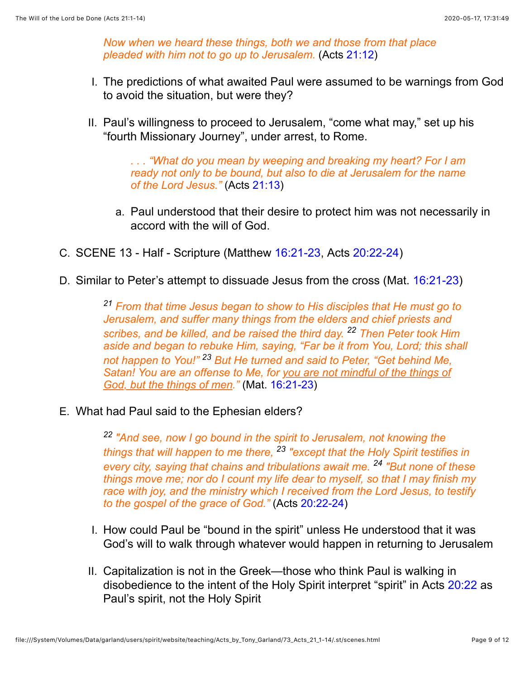*Now when we heard these things, both we and those from that place pleaded with him not to go up to Jerusalem.* (Acts [21:12](http://www.spiritandtruth.org/bibles/nasb/b44c021.htm%23Acts_C21V12))

- I. The predictions of what awaited Paul were assumed to be warnings from God to avoid the situation, but were they?
- II. Paul's willingness to proceed to Jerusalem, "come what may," set up his "fourth Missionary Journey", under arrest, to Rome.

*. . . "What do you mean by weeping and breaking my heart? For I am ready not only to be bound, but also to die at Jerusalem for the name of the Lord Jesus."* (Acts [21:13\)](http://www.spiritandtruth.org/bibles/nasb/b44c021.htm%23Acts_C21V13)

- a. Paul understood that their desire to protect him was not necessarily in accord with the will of God.
- C. SCENE 13 Half Scripture (Matthew [16:21-23](http://www.spiritandtruth.org/bibles/nasb/b40c016.htm%23Mat._C16V21), Acts [20:22-24\)](http://www.spiritandtruth.org/bibles/nasb/b44c020.htm%23Acts_C20V22)
- D. Similar to Peter's attempt to dissuade Jesus from the cross (Mat. [16:21-23](http://www.spiritandtruth.org/bibles/nasb/b40c016.htm%23Mat._C16V21))

*21 From that time Jesus began to show to His disciples that He must go to Jerusalem, and suffer many things from the elders and chief priests and scribes, and be killed, and be raised the third day. 22 Then Peter took Him aside and began to rebuke Him, saying, "Far be it from You, Lord; this shall not happen to You!" 23 But He turned and said to Peter, "Get behind Me, Satan! You are an offense to Me, for you are not mindful of the things of God, but the things of men."* (Mat. [16:21-23\)](http://www.spiritandtruth.org/bibles/nasb/b40c016.htm%23Mat._C16V21)

E. What had Paul said to the Ephesian elders?

*22 "And see, now I go bound in the spirit to Jerusalem, not knowing the things that will happen to me there, 23 "except that the Holy Spirit testifies in every city, saying that chains and tribulations await me. 24 "But none of these things move me; nor do I count my life dear to myself, so that I may finish my race with joy, and the ministry which I received from the Lord Jesus, to testify to the gospel of the grace of God."* (Acts [20:22-24](http://www.spiritandtruth.org/bibles/nasb/b44c020.htm%23Acts_C20V22))

- I. How could Paul be "bound in the spirit" unless He understood that it was God's will to walk through whatever would happen in returning to Jerusalem
- II. Capitalization is not in the Greek—those who think Paul is walking in disobedience to the intent of the Holy Spirit interpret "spirit" in Acts [20:22](http://www.spiritandtruth.org/bibles/nasb/b44c020.htm%23Acts_C20V22) as Paul's spirit, not the Holy Spirit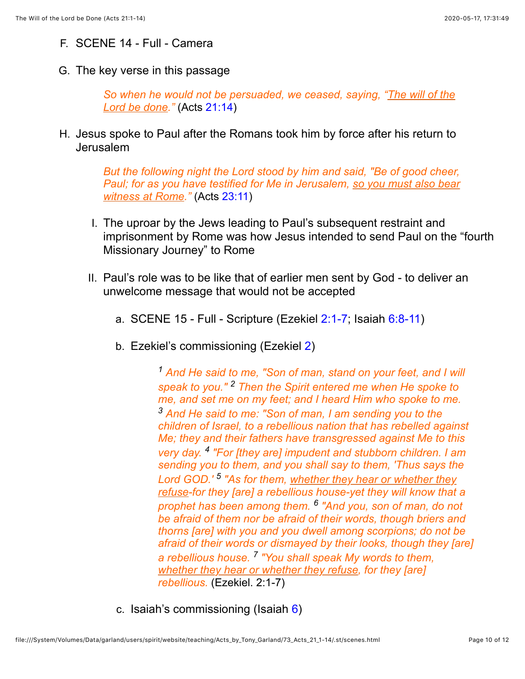- F. SCENE 14 Full Camera
- G. The key verse in this passage

*So when he would not be persuaded, we ceased, saying, "The will of the Lord be done."* (Acts [21:14\)](http://www.spiritandtruth.org/bibles/nasb/b44c021.htm%23Acts_C21V14)

H. Jesus spoke to Paul after the Romans took him by force after his return to Jerusalem

> *But the following night the Lord stood by him and said, "Be of good cheer, Paul; for as you have testified for Me in Jerusalem, so you must also bear witness at Rome."* (Acts [23:11](http://www.spiritandtruth.org/bibles/nasb/b44c023.htm%23Acts_C23V11))

- I. The uproar by the Jews leading to Paul's subsequent restraint and imprisonment by Rome was how Jesus intended to send Paul on the "fourth Missionary Journey" to Rome
- II. Paul's role was to be like that of earlier men sent by God to deliver an unwelcome message that would not be accepted
	- a. SCENE 15 Full Scripture (Ezekiel [2:1-7;](http://www.spiritandtruth.org/bibles/nasb/b26c002.htm%23Eze._C2V1) Isaiah [6:8-11\)](http://www.spiritandtruth.org/bibles/nasb/b23c006.htm%23Isa._C6V8)
	- b. Ezekiel's commissioning (Ezekiel [2](http://www.spiritandtruth.org/bibles/nasb/b26c002.htm%23Eze._C2V1))

*1 And He said to me, "Son of man, stand on your feet, and I will speak to you." 2 Then the Spirit entered me when He spoke to me, and set me on my feet; and I heard Him who spoke to me. 3 And He said to me: "Son of man, I am sending you to the children of Israel, to a rebellious nation that has rebelled against Me; they and their fathers have transgressed against Me to this very day. 4 "For [they are] impudent and stubborn children. I am sending you to them, and you shall say to them, 'Thus says the Lord GOD.' 5 "As for them, whether they hear or whether they refuse-for they [are] a rebellious house-yet they will know that a prophet has been among them. 6 "And you, son of man, do not be afraid of them nor be afraid of their words, though briers and thorns [are] with you and you dwell among scorpions; do not be afraid of their words or dismayed by their looks, though they [are] a rebellious house. 7 "You shall speak My words to them, whether they hear or whether they refuse, for they [are] rebellious.* (Ezekiel. 2:1-7)

c. Isaiah's commissioning (Isaiah [6\)](http://www.spiritandtruth.org/bibles/nasb/b23c006.htm%23Isa._C6V1)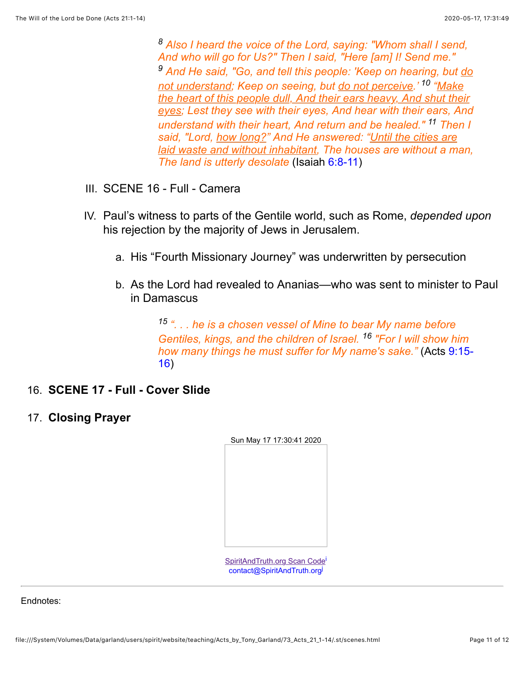*8 Also I heard the voice of the Lord, saying: "Whom shall I send, And who will go for Us?" Then I said, "Here [am] I! Send me." 9 And He said, "Go, and tell this people: 'Keep on hearing, but do not understand; Keep on seeing, but do not perceive.' 10 "Make the heart of this people dull, And their ears heavy, And shut their eyes; Lest they see with their eyes, And hear with their ears, And understand with their heart, And return and be healed." 11 Then I said, "Lord, how long?" And He answered: "Until the cities are laid waste and without inhabitant, The houses are without a man, The land is utterly desolate* (Isaiah [6:8-11](http://www.spiritandtruth.org/bibles/nasb/b23c006.htm%23Isa._C6V8))

- III. SCENE 16 Full Camera
- IV. Paul's witness to parts of the Gentile world, such as Rome, *depended upon* his rejection by the majority of Jews in Jerusalem.
	- a. His "Fourth Missionary Journey" was underwritten by persecution
	- b. As the Lord had revealed to Ananias—who was sent to minister to Paul in Damascus

*15 ". . . he is a chosen vessel of Mine to bear My name before Gentiles, kings, and the children of Israel. 16 "For I will show him [how many things he must suffer for My name's sake."](http://www.spiritandtruth.org/bibles/nasb/b44c009.htm%23Acts_C9V15)* (Acts 9:15- 16)

- 16. **SCENE 17 Full Cover Slide**
- 17. **Closing Prayer**

<span id="page-10-1"></span><span id="page-10-0"></span>SpiritAndTruth.org Scan Code [contact@SpiritAndTruth.org](mailto:contact@spiritandtruth.org?subject=ST-EMAIL:%20The%20Will%20of%20the%20Lord%20be%20Done%20(Acts%2021:1-14))

Endnotes: